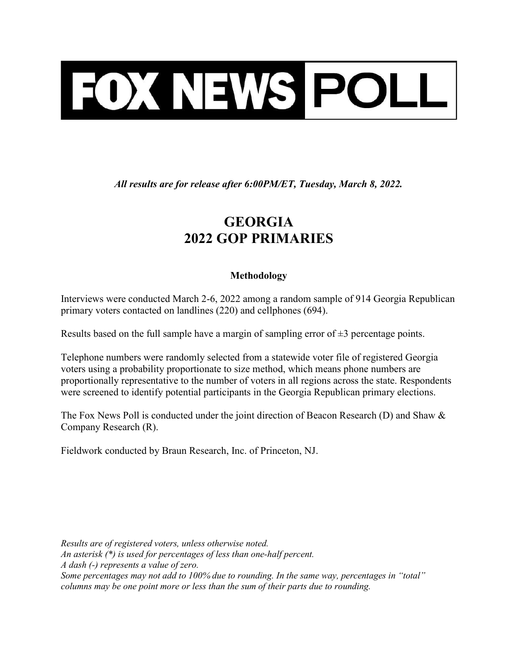

All results are for release after 6:00PM/ET, Tuesday, March 8, 2022.

## GEORGIA 2022 GOP PRIMARIES

## Methodology

Interviews were conducted March 2-6, 2022 among a random sample of 914 Georgia Republican primary voters contacted on landlines (220) and cellphones (694).

Results based on the full sample have a margin of sampling error of  $\pm 3$  percentage points.

Telephone numbers were randomly selected from a statewide voter file of registered Georgia voters using a probability proportionate to size method, which means phone numbers are proportionally representative to the number of voters in all regions across the state. Respondents were screened to identify potential participants in the Georgia Republican primary elections.

The Fox News Poll is conducted under the joint direction of Beacon Research (D) and Shaw & Company Research (R).

Fieldwork conducted by Braun Research, Inc. of Princeton, NJ.

Results are of registered voters, unless otherwise noted. An asterisk (\*) is used for percentages of less than one-half percent. A dash (-) represents a value of zero. Some percentages may not add to 100% due to rounding. In the same way, percentages in "total" columns may be one point more or less than the sum of their parts due to rounding.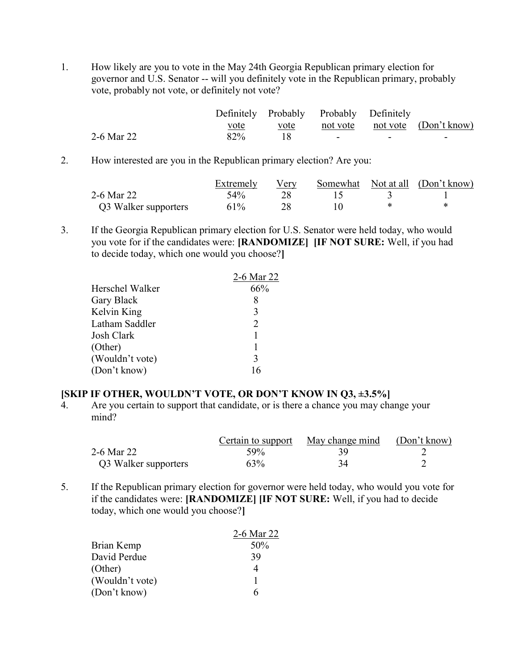1. How likely are you to vote in the May 24th Georgia Republican primary election for governor and U.S. Senator -- will you definitely vote in the Republican primary, probably vote, probably not vote, or definitely not vote?

|            |      |      | Definitely Probably Probably Definitely |   |                                |
|------------|------|------|-----------------------------------------|---|--------------------------------|
|            | vote | vote |                                         |   | not vote not vote (Don't know) |
| 2-6 Mar 22 | 82%  |      | $\sim$                                  | - | -                              |

2. How interested are you in the Republican primary election? Are you:

|                      | Extremely | V er v |  | Somewhat Not at all (Don't know) |
|----------------------|-----------|--------|--|----------------------------------|
| 2-6 Mar 22           | $54\%$    |        |  |                                  |
| Q3 Walker supporters | 61%       |        |  |                                  |

3. If the Georgia Republican primary election for U.S. Senator were held today, who would you vote for if the candidates were: [RANDOMIZE] [IF NOT SURE: Well, if you had to decide today, which one would you choose?]

|                 | 2-6 Mar 22 |
|-----------------|------------|
| Herschel Walker | 66%        |
| Gary Black      | 8          |
| Kelvin King     | 3          |
| Latham Saddler  | 2          |
| Josh Clark      |            |
| (Other)         |            |
| (Wouldn't vote) | 3          |
| (Don't know)    | 16         |

## [SKIP IF OTHER, WOULDN'T VOTE, OR DON'T KNOW IN Q3, ±3.5%]

4. Are you certain to support that candidate, or is there a chance you may change your mind?

|                      |        | Certain to support May change mind | (Don't know) |
|----------------------|--------|------------------------------------|--------------|
| 2-6 Mar 22           | $59\%$ |                                    |              |
| Q3 Walker supporters | 63%    |                                    |              |

5. If the Republican primary election for governor were held today, who would you vote for if the candidates were: [RANDOMIZE] [IF NOT SURE: Well, if you had to decide today, which one would you choose?]

|                 | 2-6 Mar 22 |
|-----------------|------------|
| Brian Kemp      | 50%        |
| David Perdue    | 39         |
| (Other)         |            |
| (Wouldn't vote) |            |
| (Don't know)    | 6          |